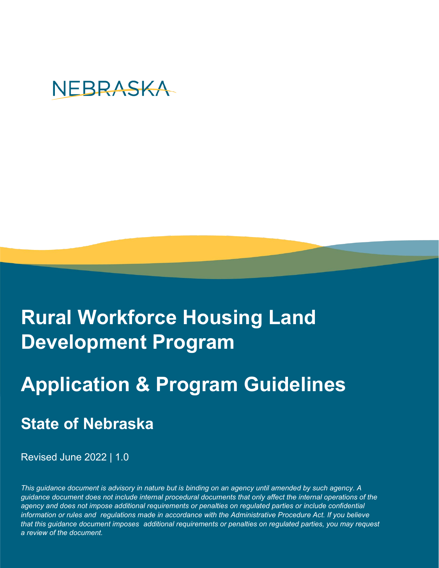# NEBRASKA

# **Rural Workforce Housing Land Development Program**

# **Application & Program Guidelines**

## **State of Nebraska**

Revised June 2022 | 1.0

*This guidance document is advisory in nature but is binding on an agency until amended by such agency. A guidance document does not include internal procedural documents that only affect the internal operations of the* agency and does not impose additional requirements or penalties on regulated parties or include confidential *information or rules and regulations made in accordance with the Administrative Procedure Act. If you believe that this guidance document imposes additional requirements or penalties on regulated parties, you may request a review of the document.*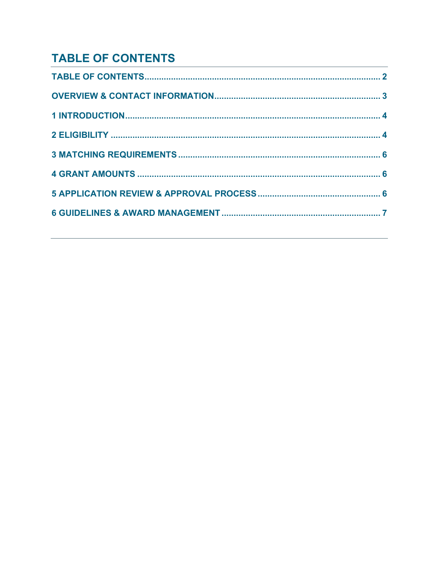## **TABLE OF CONTENTS**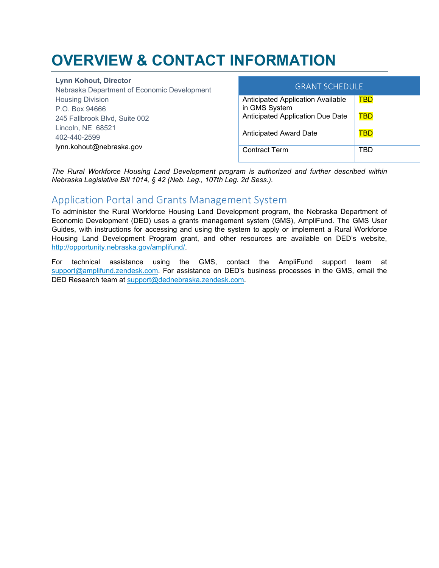## **OVERVIEW & CONTACT INFORMATION**

**Lynn Kohout, Director** Nebraska Department of Economic Development Housing Division P.O. Box 94666 245 Fallbrook Blvd, Suite 002 Lincoln, NE 68521 402-440-2599 lynn.kohout@nebraska.gov

| <b>GRANT SCHEDULE</b>                              |     |  |
|----------------------------------------------------|-----|--|
| Anticipated Application Available<br>in GMS System | TBD |  |
| Anticipated Application Due Date                   | TBD |  |
| <b>Anticipated Award Date</b>                      | TBD |  |
| <b>Contract Term</b>                               | TRD |  |

*The Rural Workforce Housing Land Development program is authorized and further described within Nebraska Legislative Bill 1014, § 42 (Neb. Leg., 107th Leg. 2d Sess.).*

### Application Portal and Grants Management System

To administer the Rural Workforce Housing Land Development program, the Nebraska Department of Economic Development (DED) uses a grants management system (GMS), AmpliFund. The GMS User Guides, with instructions for accessing and using the system to apply or implement a Rural Workforce Housing Land Development Program grant, and other resources are available on DED's website, [http://opportunity.nebraska.gov/amplifund/.](http://opportunity.nebraska.gov/amplifund/)

For technical assistance using the GMS, contact the AmpliFund support team at [support@amplifund.zendesk.com.](mailto:support@amplifund.zendesk.com) For assistance on DED's business processes in the GMS, email the DED Research team at [support@dednebraska.zendesk.com.](mailto:support@dednebraska.zendesk.com)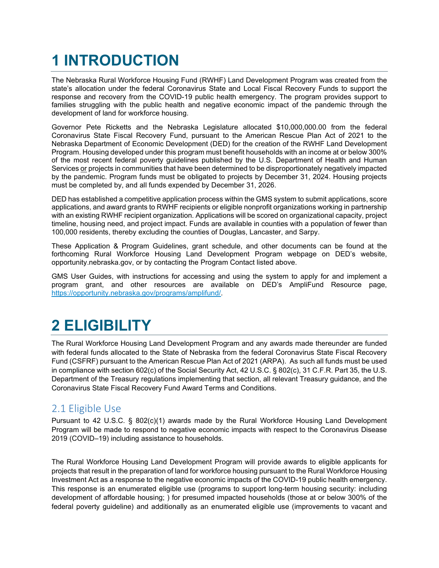## **1 INTRODUCTION**

The Nebraska Rural Workforce Housing Fund (RWHF) Land Development Program was created from the state's allocation under the federal Coronavirus State and Local Fiscal Recovery Funds to support the response and recovery from the COVID-19 public health emergency. The program provides support to families struggling with the public health and negative economic impact of the pandemic through the development of land for workforce housing.

Governor Pete Ricketts and the Nebraska Legislature allocated \$10,000,000.00 from the federal Coronavirus State Fiscal Recovery Fund, pursuant to the American Rescue Plan Act of 2021 to the Nebraska Department of Economic Development (DED) for the creation of the RWHF Land Development Program. Housing developed under this program must benefit households with an income at or below 300% of the most recent federal poverty guidelines published by the U.S. Department of Health and Human Services or projects in communities that have been determined to be disproportionately negatively impacted by the pandemic. Program funds must be obligated to projects by December 31, 2024. Housing projects must be completed by, and all funds expended by December 31, 2026.

DED has established a competitive application process within the GMS system to submit applications, score applications, and award grants to RWHF recipients or eligible nonprofit organizations working in partnership with an existing RWHF recipient organization. Applications will be scored on organizational capacity, project timeline, housing need, and project impact. Funds are available in counties with a population of fewer than 100,000 residents, thereby excluding the counties of Douglas, Lancaster, and Sarpy.

These Application & Program Guidelines, grant schedule, and other documents can be found at the forthcoming Rural Workforce Housing Land Development Program webpage on DED's website, opportunity.nebraska.gov, or by contacting the Program Contact listed above.

GMS User Guides, with instructions for accessing and using the system to apply for and implement a program grant, and other resources are available on DED's AmpliFund Resource page, [https://opportunity.nebraska.gov/programs/amplifund/.](https://opportunity.nebraska.gov/programs/amplifund/)

## **2 ELIGIBILITY**

The Rural Workforce Housing Land Development Program and any awards made thereunder are funded with federal funds allocated to the State of Nebraska from the federal Coronavirus State Fiscal Recovery Fund (CSFRF) pursuant to the American Rescue Plan Act of 2021 (ARPA). As such all funds must be used in compliance with section 602(c) of the Social Security Act, 42 U.S.C. § 802(c), 31 C.F.R. Part 35, the U.S. Department of the Treasury regulations implementing that section, all relevant Treasury guidance, and the Coronavirus State Fiscal Recovery Fund Award Terms and Conditions.

### 2.1 Eligible Use

Pursuant to 42 U.S.C. § 802(c)(1) awards made by the Rural Workforce Housing Land Development Program will be made to respond to negative economic impacts with respect to the Coronavirus Disease 2019 (COVID–19) including assistance to households.

The Rural Workforce Housing Land Development Program will provide awards to eligible applicants for projects that result in the preparation of land for workforce housing pursuant to the Rural Workforce Housing Investment Act as a response to the negative economic impacts of the COVID-19 public health emergency. This response is an enumerated eligible use (programs to support long-term housing security: including development of affordable housing; ) for presumed impacted households (those at or below 300% of the federal poverty guideline) and additionally as an enumerated eligible use (improvements to vacant and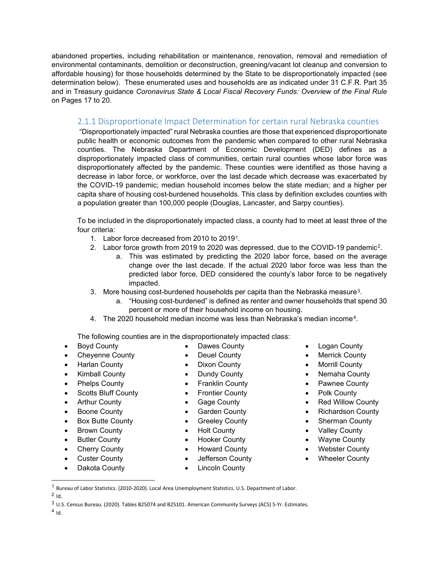abandoned properties, including rehabilitation or maintenance, renovation, removal and remediation of environmental contaminants, demolition or deconstruction, greening/vacant lot cleanup and conversion to affordable housing) for those households determined by the State to be disproportionately impacted (see determination below). These enumerated uses and households are as indicated under 31 C.F.R. Part 35 and in Treasury guidance *Coronavirus State & Local Fiscal Recovery Funds: Overview of the Final Rule* on Pages 17 to 20.

#### 2.1.1 Disproportionate Impact Determination for certain rural Nebraska counties

"Disproportionately impacted" rural Nebraska counties are those that experienced disproportionate public health or economic outcomes from the pandemic when compared to other rural Nebraska counties. The Nebraska Department of Economic Development (DED) defines as a disproportionately impacted class of communities, certain rural counties whose labor force was disproportionately affected by the pandemic. These counties were identified as those having a decrease in labor force, or workforce, over the last decade which decrease was exacerbated by the COVID-19 pandemic; median household incomes below the state median; and a higher per capita share of housing cost-burdened households. This class by definition excludes counties with a population greater than 100,000 people (Douglas, Lancaster, and Sarpy counties).

To be included in the disproportionately impacted class, a county had to meet at least three of the four criteria:

- 1. Labor force decreased from 2010 to 2019[1](#page-4-0).
- 2. Labor force growth from 2019 to 2020 was depressed, due to the COVID-19 pandemic[2.](#page-4-1)
	- a. This was estimated by predicting the 2020 labor force, based on the average change over the last decade. If the actual 2020 labor force was less than the predicted labor force, DED considered the county's labor force to be negatively impacted.
- [3](#page-4-2). More housing cost-burdened households per capita than the Nebraska measure<sup>3</sup>.
	- a. "Housing cost-burdened" is defined as renter and owner households that spend 30 percent or more of their household income on housing.
- 4. The 2020 household median income was less than Nebraska's median income[4.](#page-4-3)

The following counties are in the disproportionately impacted class:

- Boyd County
- Cheyenne County
- Harlan County
- Kimball County
- Phelps County
- Scotts Bluff County
- Arthur County
- Boone County
- Box Butte County
- Brown County
- Butler County
- Cherry County
- Custer County
- Dakota County
- Dawes County
- 
- 
- 
- Franklin County
- Frontier County
- Gage County
- Garden County
- Greeley County
- Holt County
- Hooker County
- 
- 
- 
- **Merrick County**
- Nemaha County
- Pawnee County
- Polk County
- Red Willow County
- Richardson County
- Sherman County
- Valley County
- Wayne County
- Webster County
- Wheeler County
- <sup>1</sup> Bureau of Labor Statistics. (2010-2020). Local Area Unemployment Statistics. U.S. Department of Labor.

<span id="page-4-3"></span> $4$  Id.

- Logan County
- **Morrill County**
- 
- 
- 
- 
- 
- 
- 
- 
- 
- Deuel County
- Dixon County
- Dundy County
- 
- 
- 
- 
- 
- 
- 
- Howard County
- Jefferson County
- **Lincoln County**
- -
	-
	-
	-

<span id="page-4-2"></span><span id="page-4-1"></span><span id="page-4-0"></span> $2$  Id.

<sup>3</sup> U.S. Census Bureau. (2020). Tables B25074 and B25101. American Community Surveys (ACS) 5-Yr. Estimates.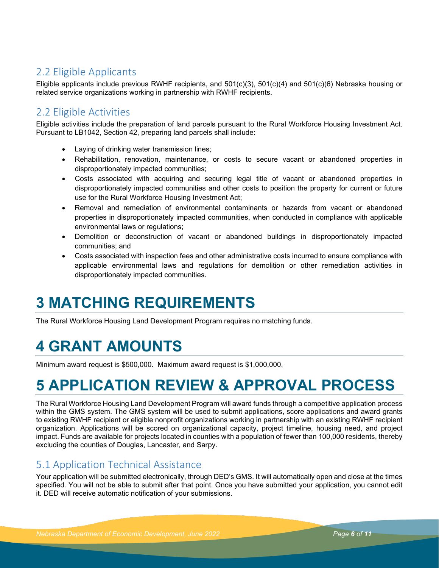### 2.2 Eligible Applicants

Eligible applicants include previous RWHF recipients, and 501(c)(3), 501(c)(4) and 501(c)(6) Nebraska housing or related service organizations working in partnership with RWHF recipients.

### 2.2 Eligible Activities

Eligible activities include the preparation of land parcels pursuant to the Rural Workforce Housing Investment Act. Pursuant to LB1042, Section 42, preparing land parcels shall include:

- Laying of drinking water transmission lines;
- Rehabilitation, renovation, maintenance, or costs to secure vacant or abandoned properties in disproportionately impacted communities;
- Costs associated with acquiring and securing legal title of vacant or abandoned properties in disproportionately impacted communities and other costs to position the property for current or future use for the Rural Workforce Housing Investment Act;
- Removal and remediation of environmental contaminants or hazards from vacant or abandoned properties in disproportionately impacted communities, when conducted in compliance with applicable environmental laws or regulations;
- Demolition or deconstruction of vacant or abandoned buildings in disproportionately impacted communities; and
- Costs associated with inspection fees and other administrative costs incurred to ensure compliance with applicable environmental laws and regulations for demolition or other remediation activities in disproportionately impacted communities.

## **3 MATCHING REQUIREMENTS**

The Rural Workforce Housing Land Development Program requires no matching funds.

## **4 GRANT AMOUNTS**

Minimum award request is \$500,000. Maximum award request is \$1,000,000.

## **5 APPLICATION REVIEW & APPROVAL PROCESS**

The Rural Workforce Housing Land Development Program will award funds through a competitive application process within the GMS system. The GMS system will be used to submit applications, score applications and award grants to existing RWHF recipient or eligible nonprofit organizations working in partnership with an existing RWHF recipient organization. Applications will be scored on organizational capacity, project timeline, housing need, and project impact. Funds are available for projects located in counties with a population of fewer than 100,000 residents, thereby excluding the counties of Douglas, Lancaster, and Sarpy.

### 5.1 Application Technical Assistance

Your application will be submitted electronically, through DED's GMS. It will automatically open and close at the times specified. You will not be able to submit after that point. Once you have submitted your application, you cannot edit it. DED will receive automatic notification of your submissions.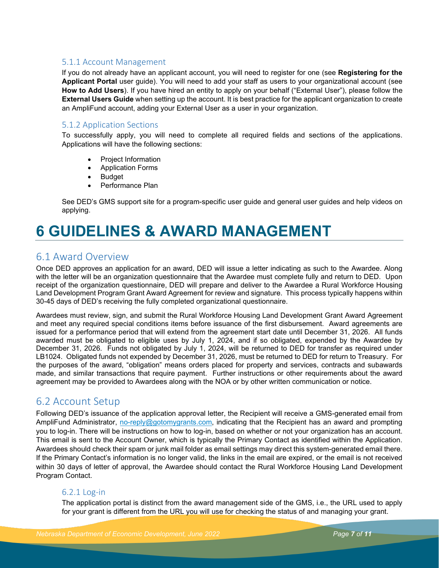#### 5.1.1 Account Management

If you do not already have an applicant account, you will need to register for one (see **Registering for the Applicant Portal** user guide). You will need to add your staff as users to your organizational account (see **How to Add Users**). If you have hired an entity to apply on your behalf ("External User"), please follow the **External Users Guide** when setting up the account. It is best practice for the applicant organization to create an AmpliFund account, adding your External User as a user in your organization.

#### 5.1.2 Application Sections

To successfully apply, you will need to complete all required fields and sections of the applications. Applications will have the following sections:

- Project Information
- Application Forms
- Budget
- Performance Plan

See DED's GMS support site for a program-specific user guide and general user guides and help videos on applying.

## **6 GUIDELINES & AWARD MANAGEMENT**

### 6.1 Award Overview

Once DED approves an application for an award, DED will issue a letter indicating as such to the Awardee. Along with the letter will be an organization questionnaire that the Awardee must complete fully and return to DED. Upon receipt of the organization questionnaire, DED will prepare and deliver to the Awardee a Rural Workforce Housing Land Development Program Grant Award Agreement for review and signature. This process typically happens within 30-45 days of DED's receiving the fully completed organizational questionnaire.

Awardees must review, sign, and submit the Rural Workforce Housing Land Development Grant Award Agreement and meet any required special conditions items before issuance of the first disbursement. Award agreements are issued for a performance period that will extend from the agreement start date until December 31, 2026. All funds awarded must be obligated to eligible uses by July 1, 2024, and if so obligated, expended by the Awardee by December 31, 2026. Funds not obligated by July 1, 2024, will be returned to DED for transfer as required under LB1024. Obligated funds not expended by December 31, 2026, must be returned to DED for return to Treasury. For the purposes of the award, "obligation" means orders placed for property and services, contracts and subawards made, and similar transactions that require payment. Further instructions or other requirements about the award agreement may be provided to Awardees along with the NOA or by other written communication or notice.

### 6.2 Account Setup

Following DED's issuance of the application approval letter, the Recipient will receive a GMS-generated email from AmpliFund Administrator, [no-reply@gotomygrants.com,](mailto:no-reply@gotomygrants.com) indicating that the Recipient has an award and prompting you to log-in. There will be instructions on how to log-in, based on whether or not your organization has an account. This email is sent to the Account Owner, which is typically the Primary Contact as identified within the Application. Awardees should check their spam or junk mail folder as email settings may direct this system-generated email there. If the Primary Contact's information is no longer valid, the links in the email are expired, or the email is not received within 30 days of letter of approval, the Awardee should contact the Rural Workforce Housing Land Development Program Contact.

#### 6.2.1 Log-in

The application portal is distinct from the award management side of the GMS, i.e., the URL used to apply for your grant is different from the URL you will use for checking the status of and managing your grant.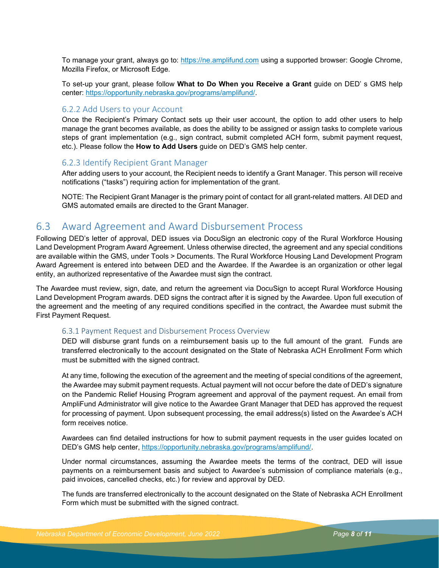To manage your grant, always go to: [https://ne.amplifund.com](https://ne.amplifund.com/) using a supported browser: Google Chrome, Mozilla Firefox, or Microsoft Edge.

To set-up your grant, please follow **What to Do When you Receive a Grant** guide on DED' s GMS help center: [https://opportunity.nebraska.gov/programs/amplifund/.](https://opportunity.nebraska.gov/programs/amplifund/)

#### 6.2.2 Add Users to your Account

Once the Recipient's Primary Contact sets up their user account, the option to add other users to help manage the grant becomes available, as does the ability to be assigned or assign tasks to complete various steps of grant implementation (e.g., sign contract, submit completed ACH form, submit payment request, etc.). Please follow the **How to Add Users** guide on DED's GMS help center.

#### 6.2.3 Identify Recipient Grant Manager

After adding users to your account, the Recipient needs to identify a Grant Manager. This person will receive notifications ("tasks") requiring action for implementation of the grant.

NOTE: The Recipient Grant Manager is the primary point of contact for all grant-related matters. All DED and GMS automated emails are directed to the Grant Manager.

#### 6.3 Award Agreement and Award Disbursement Process

Following DED's letter of approval, DED issues via DocuSign an electronic copy of the Rural Workforce Housing Land Development Program Award Agreement. Unless otherwise directed, the agreement and any special conditions are available within the GMS, under Tools > Documents. The Rural Workforce Housing Land Development Program Award Agreement is entered into between DED and the Awardee. If the Awardee is an organization or other legal entity, an authorized representative of the Awardee must sign the contract.

The Awardee must review, sign, date, and return the agreement via DocuSign to accept Rural Workforce Housing Land Development Program awards. DED signs the contract after it is signed by the Awardee. Upon full execution of the agreement and the meeting of any required conditions specified in the contract, the Awardee must submit the First Payment Request.

#### 6.3.1 Payment Request and Disbursement Process Overview

DED will disburse grant funds on a reimbursement basis up to the full amount of the grant. Funds are transferred electronically to the account designated on the State of Nebraska ACH Enrollment Form which must be submitted with the signed contract.

At any time, following the execution of the agreement and the meeting of special conditions of the agreement, the Awardee may submit payment requests. Actual payment will not occur before the date of DED's signature on the Pandemic Relief Housing Program agreement and approval of the payment request. An email from AmpliFund Administrator will give notice to the Awardee Grant Manager that DED has approved the request for processing of payment. Upon subsequent processing, the email address(s) listed on the Awardee's ACH form receives notice.

Awardees can find detailed instructions for how to submit payment requests in the user guides located on DED's GMS help center, [https://opportunity.nebraska.gov/programs/amplifund/.](https://opportunity.nebraska.gov/programs/amplifund/) 

Under normal circumstances, assuming the Awardee meets the terms of the contract, DED will issue payments on a reimbursement basis and subject to Awardee's submission of compliance materials (e.g., paid invoices, cancelled checks, etc.) for review and approval by DED.

The funds are transferred electronically to the account designated on the State of Nebraska ACH Enrollment Form which must be submitted with the signed contract.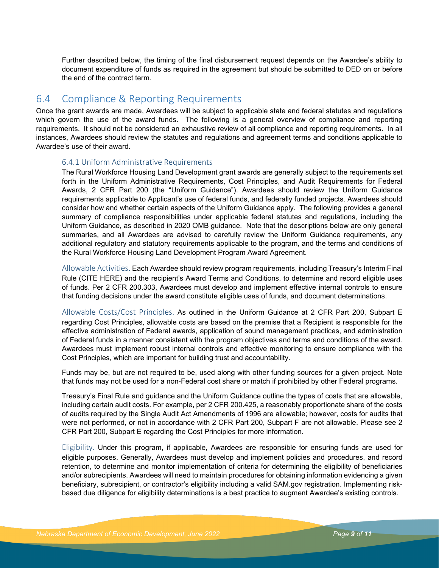Further described below, the timing of the final disbursement request depends on the Awardee's ability to document expenditure of funds as required in the agreement but should be submitted to DED on or before the end of the contract term.

### 6.4 Compliance & Reporting Requirements

Once the grant awards are made, Awardees will be subject to applicable state and federal statutes and regulations which govern the use of the award funds. The following is a general overview of compliance and reporting requirements. It should not be considered an exhaustive review of all compliance and reporting requirements. In all instances, Awardees should review the statutes and regulations and agreement terms and conditions applicable to Awardee's use of their award.

#### 6.4.1 Uniform Administrative Requirements

The Rural Workforce Housing Land Development grant awards are generally subject to the requirements set forth in the Uniform Administrative Requirements, Cost Principles, and Audit Requirements for Federal Awards, 2 CFR Part 200 (the "Uniform Guidance"). Awardees should review the Uniform Guidance requirements applicable to Applicant's use of federal funds, and federally funded projects. Awardees should consider how and whether certain aspects of the Uniform Guidance apply. The following provides a general summary of compliance responsibilities under applicable federal statutes and regulations, including the Uniform Guidance, as described in 2020 OMB guidance. Note that the descriptions below are only general summaries, and all Awardees are advised to carefully review the Uniform Guidance requirements, any additional regulatory and statutory requirements applicable to the program, and the terms and conditions of the Rural Workforce Housing Land Development Program Award Agreement.

Allowable Activities. Each Awardee should review program requirements, including Treasury's Interim Final Rule (CITE HERE) and the recipient's Award Terms and Conditions, to determine and record eligible uses of funds. Per 2 CFR 200.303, Awardees must develop and implement effective internal controls to ensure that funding decisions under the award constitute eligible uses of funds, and document determinations.

Allowable Costs/Cost Principles. As outlined in the Uniform Guidance at 2 CFR Part 200, Subpart E regarding Cost Principles, allowable costs are based on the premise that a Recipient is responsible for the effective administration of Federal awards, application of sound management practices, and administration of Federal funds in a manner consistent with the program objectives and terms and conditions of the award. Awardees must implement robust internal controls and effective monitoring to ensure compliance with the Cost Principles, which are important for building trust and accountability.

Funds may be, but are not required to be, used along with other funding sources for a given project. Note that funds may not be used for a non-Federal cost share or match if prohibited by other Federal programs.

Treasury's Final Rule and guidance and the Uniform Guidance outline the types of costs that are allowable, including certain audit costs. For example, per 2 CFR 200.425, a reasonably proportionate share of the costs of audits required by the Single Audit Act Amendments of 1996 are allowable; however, costs for audits that were not performed, or not in accordance with 2 CFR Part 200, Subpart F are not allowable. Please see 2 CFR Part 200, Subpart E regarding the Cost Principles for more information.

Eligibility. Under this program, if applicable, Awardees are responsible for ensuring funds are used for eligible purposes. Generally, Awardees must develop and implement policies and procedures, and record retention, to determine and monitor implementation of criteria for determining the eligibility of beneficiaries and/or subrecipients. Awardees will need to maintain procedures for obtaining information evidencing a given beneficiary, subrecipient, or contractor's eligibility including a valid SAM.gov registration. Implementing riskbased due diligence for eligibility determinations is a best practice to augment Awardee's existing controls.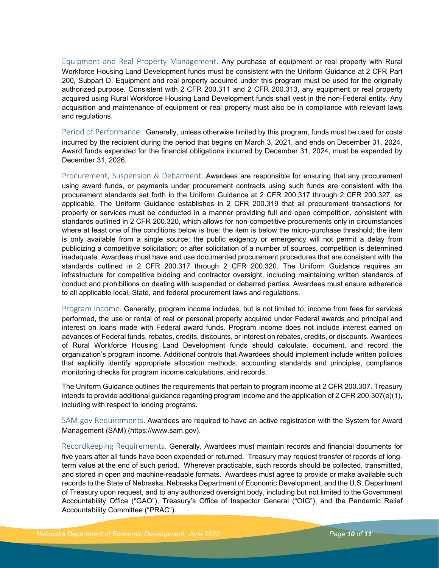Equipment and Real Property Management. Any purchase of equipment or real property with Rural Workforce Housing Land Development funds must be consistent with the Uniform Guidance at 2 CFR Part 200, Subpart D. Equipment and real property acquired under this program must be used for the originally authorized purpose. Consistent with 2 CFR 200.311 and 2 CFR 200.313, any equipment or real property acquired using Rural Workforce Housing Land Development funds shall vest in the non-Federal entity. Any acquisition and maintenance of equipment or real property must also be in compliance with relevant laws and regulations.

Period of Performance. Generally, unless otherwise limited by this program, funds must be used for costs incurred by the recipient during the period that begins on March 3, 2021, and ends on December 31, 2024. Award funds expended for the financial obligations incurred by December 31, 2024, must be expended by December 31, 2026.

Procurement, Suspension & Debarment. Awardees are responsible for ensuring that any procurement using award funds, or payments under procurement contracts using such funds are consistent with the procurement standards set forth in the Uniform Guidance at 2 CFR 200.317 through 2 CFR 200.327, as applicable. The Uniform Guidance establishes in 2 CFR 200.319 that all procurement transactions for property or services must be conducted in a manner providing full and open competition, consistent with standards outlined in 2 CFR 200.320, which allows for non-competitive procurements only in circumstances where at least one of the conditions below is true: the item is below the micro-purchase threshold; the item is only available from a single source; the public exigency or emergency will not permit a delay from publicizing a competitive solicitation; or after solicitation of a number of sources, competition is determined inadequate. Awardees must have and use documented procurement procedures that are consistent with the standards outlined in 2 CFR 200.317 through 2 CFR 200.320. The Uniform Guidance requires an infrastructure for competitive bidding and contractor oversight, including maintaining written standards of conduct and prohibitions on dealing with suspended or debarred parties. Awardees must ensure adherence to all applicable local, State, and federal procurement laws and regulations.

Program Income. Generally, program income includes, but is not limited to, income from fees for services performed, the use or rental of real or personal property acquired under Federal awards and principal and interest on loans made with Federal award funds. Program income does not include interest earned on advances of Federal funds, rebates, credits, discounts, or interest on rebates, credits, or discounts. Awardees of Rural Workforce Housing Land Development funds should calculate, document, and record the organization's program income. Additional controls that Awardees should implement include written policies that explicitly identify appropriate allocation methods, accounting standards and principles, compliance monitoring checks for program income calculations, and records.

The Uniform Guidance outlines the requirements that pertain to program income at 2 CFR 200.307. Treasury intends to provide additional guidance regarding program income and the application of 2 CFR 200.307(e)(1), including with respect to lending programs.

SAM.gov Requirements. Awardees are required to have an active registration with the System for Award Management (SAM) (https://www.sam.gov).

Recordkeeping Requirements. Generally, Awardees must maintain records and financial documents for five years after all funds have been expended or returned. Treasury may request transfer of records of longterm value at the end of such period. Wherever practicable, such records should be collected, transmitted, and stored in open and machine-readable formats. Awardees must agree to provide or make available such records to the State of Nebraska, Nebraska Department of Economic Development, and the U.S. Department of Treasury upon request, and to any authorized oversight body, including but not limited to the Government Accountability Office ("GAO"), Treasury's Office of Inspector General ("OIG"), and the Pandemic Relief Accountability Committee ("PRAC").